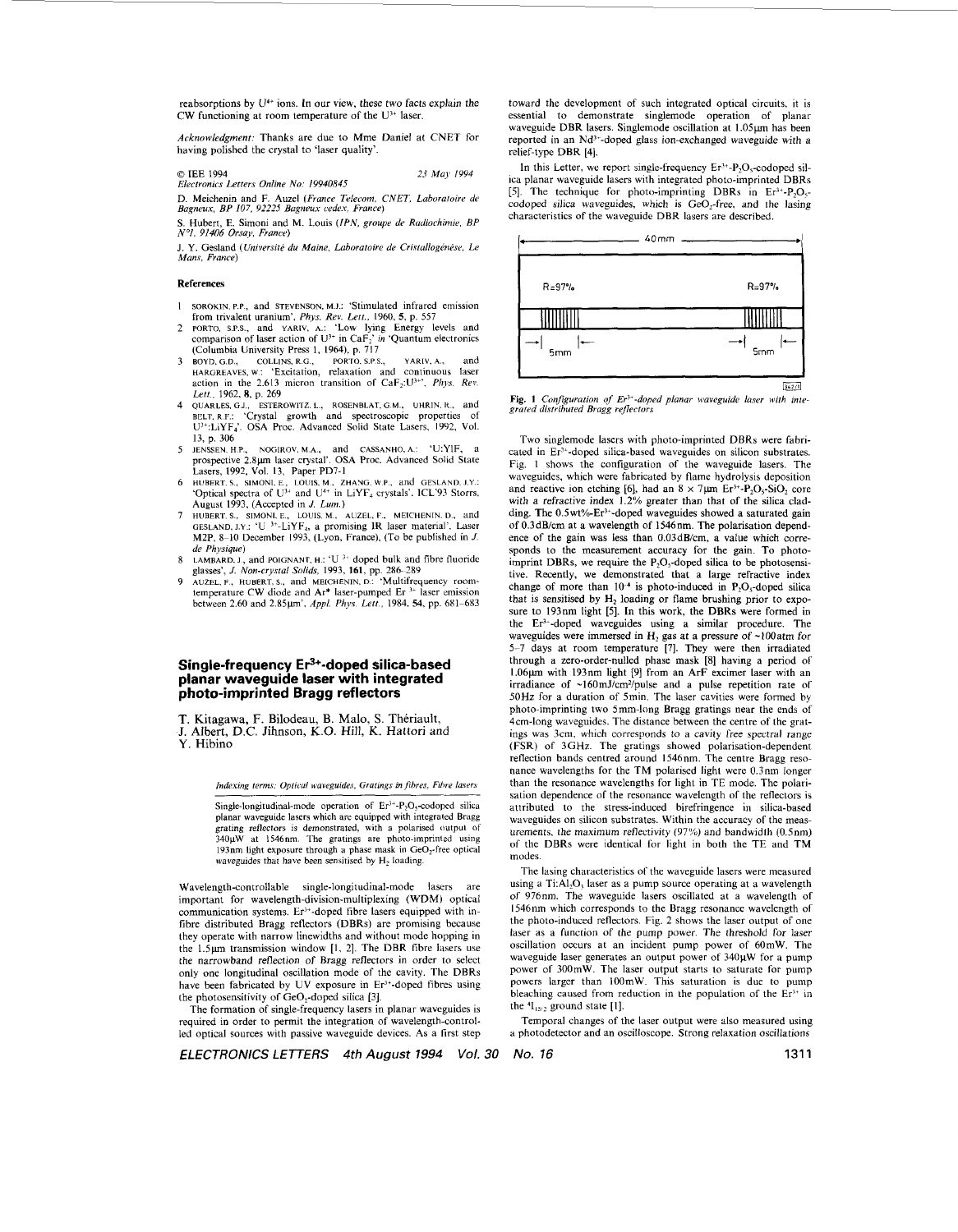reabsorptions by **U4+** ions. In our view, these two facts explain the CW functioning at room temperature of the **U"** laser.

*Acknowledgment:* Thanks are due to Mme Daniel at CNET for having polished the crystal to 'laser quality'.

*0* IEE 1994 *Electronics Letters Online No: 19940845 23 May 1994* 

D. Meichenin and F. **Auzel** *(France Telecom. CNET, Laburatoire de Bagncux, BP 107. 92225 Bugneus cedes, France)* 

**S.** Hubert, **E.** Simoni and M. Louis *(IPN. groupe de Radiochime, BP N0i, 91406 Orsay, France)* 

J. Y. Gesland *(Université du Maine, Laboratoire de Cristallogénèse, Le Mans, France)* 

## **Ref er en c** *e* **s**

- SOROKIN. P.P., and STEVENSON, M.J.: 'Stimulated infrared emission  $\mathbf{1}$ from trivalent uranium', *Phys. Rev.* **Lett.,** 1960, **5, p.** 557
- $\gamma$ **PORTO. S.P.S.,** and YARIV, A.: 'Low lying Energy levels and comparison of **laser** action of U" in CaF; *in* 'Quantum electronics (Columbia University Press I, 1964). p. 717
- BOYD, G.D., COLLINS, R.G., PORTO. S.P.S., YARIV, A., and HARGREAVES, W.: 'Excitation, relaxation and continuous laser action in the 2.613 micron transition of CaF<sub>2</sub>:U<sup>3+</sup>', *Phys. Rev. Lett.,* 1962, **8, p.** 269
- BELT. R.F.: 'Crystal growth and spectroscopic properties of U<sup>3+</sup>:LiYF<sub>4</sub>'. OSA Proc. Advanced Solid State Lasers, 1992, Vol. **13,** p. 306 QIJARLES, G.J., ESTEROWITZ. L., ROSENBLAT, G.M., UHRIH. **K,** and
- JENSSEN. H.P., NOGIROV. M.A., and CASSANHO, **A.:** 'U:YIF. a prospective **2.8~** laser crystal'. OSA Proc. Advanced Solid State 5 Lasers, 1992, **Vol. 13,** Paper PD7-I
- HUBERT. S., SIMONI. E., LOUIS. M., ZHANG. W.P., and GESLAND. J.Y.: **Optical spectra of U<sup>3+</sup>** and U<sup>4+</sup> in LiYF<sub>4</sub> crystals'. ICL'93 Storrs. August 1993, (Accepted in *J. Lurn.)*
- HUBERT. S., SIMONI. E., LOUIS. M., AUZEL. F., MEICHENIN. D., and GESLAND, **J.Y.:** 'U 3+-LiYF4, a promising lR laser material'. Laser **M2P.** 8-10 December 1993, (Lyon, France), (To be published in *J. de Physique)*
- LAMBARD. J, and POIGNANT, **H.:** 'U ?' doped hulk and fibre fluoride  $\mathbf{R}$
- glasses', *J. Non-crystal Solids*, 1993, 161, pp. 286-289<br>AUZEL, F., HUBERT, S., and MEICHENIN, D.: 'Multifrequency room-<br>temperature CW diode and Ar<sup>\*</sup> laser-pumped Er<sup>3+</sup> laser emission 9 between 2.60 and **2.85pnm',** *Appl Phys. Lett.,* 1984. *54,* pp. 681-683

# **Single-frequency Er3+-doped silica-based planar waveguide laser with integrated photo-imprinted Bragg reflectors**

T. Kitagawa, F. Bilodeau, **B.** Malo, S. Theriault,

J. Albert, D.C. Jihnson, **K.O.** Hill, K. Hattori and **Y.** Hibino

*Indexing terms: Optical waveguides, Gratings in fibres, Fibre lasers* 

Single-longitudinal-mode operation of  $Er^{3+}-P_2O_5$ -codoped silica planar waveguide lasers which are equipped with integrated Bragg grating reflectors **is** demonstrated, with a polarised output of  $340\mu\text{W}$  at 1546nm. The gratings are photo-imprinted using 193nm light exposure through **a** phase **mask** in Ge0,-free optical waveguides that have been sensitised by H<sub>2</sub> loading.

Wavelength-controllable single-longitudinal-mode lasers are important for wavelength-division-multiplexing (WDM) optical communication systems. Er<sup>3+</sup>-doped fibre lasers equipped with infibre distributed Bragg reflectors (DBRs) are promising because they operate with narrow linewidths and without mode hopping in the 1.5µm transmission window [1, 2]. The DBR fibre lasers use the narrowband reflection of Bragg reflectors in order to select only one longitudinal oscillation mode of the cavity. The DBRs have been fabricated by UV exposure in Er<sup>3+</sup>-doped fibres using the photosensitivity of  $GeO<sub>2</sub>$ -doped silica [3].

The formation of single-frequency lasers in planar waveguides **is**  required in order to permit the integration of wavelength-controlled optical sources with passive waveguide devices. **As** a first step toward the development of such integrated optical circuits, it is essential to demonstrate singlemode operation of planar waveguide DBR lasers. Singlemode oscillation at 1.05um has been reported in an Nd'\*-doped glass ion-exchanged waveguide with a relief-type DBR [4].

In this Letter, we report single-frequency  $Er^{3+}-P_2O_5$ -codoped silica planar waveguide lasers with integrated photo-imprinted DBRs *[5].* The technique for photo-imprinting DBRs in **Er'+-P20,**  codoped silica waveguides, which is GeO<sub>2</sub>-free, and the lasing characteristics of the waveguide DBR lasers are described.



**Fig. 1** *Cunfgurufion of Er'\*-doped planar wweguide lawr* **with** *inte- grated distributed Bragg refrecrurs* 

Two singlemode lasers with photo-imprinted DBRs were fabricated in Er3+-doped silica-based waveguides on silicon substrates. Fig. **1** shows the configuration of the waveguide lasers. The waveguides. which were fabricated by flame hydrolysis deposition and reactive ion etching [6], had an  $8 \times 7 \mu m$  Er<sup>3+</sup>-P<sub>2</sub>O<sub>5</sub>-SiO<sub>2</sub> core with a refractive index 1.2% greater than that of the silica cladding. The 0.5wt%-Er<sup>3+</sup>-doped waveguides showed a saturated gain of 0.3dBicm at a wavelength of 1546nm. The polarisation dependence of the gain was less than 0.03dB/cm, **a** value which corresponds to the measurement accuracy for the gain. To photoimprint DBRs, we require the  $P_2O_5$ -doped silica to be photosensitive. Recently, we demonstrated that a large refractive index change of more than  $10^{-4}$  is photo-induced in P<sub>2</sub>O<sub>5</sub>-doped silica that is sensitised by **H,** loading or flame brushing prior to exposure to 193nm light [5]. In this work, the DBRs were formed in the Er3--doped waveguides using a similar procedure. The waveguides were immersed in  $H<sub>2</sub>$  gas at a pressure of ~100 atm for **5-7** days at room temperature [7]. They were then irradiated through a zero-order-nulled phase mask [8] having a period of 1.06μm with 193nm light [9] from an ArF excimer laser with an irradiance of ~160mJ/cm<sup>2</sup>/pulse and a pulse repetition rate of **50Hz** for a duration of 5min. The laser cavities were formed by photo-imprinting two 5mm-long Bragg gratings near the ends of 4cm-long waveguides. The distance between the centre of the gratings was 3cm, which corresponds to a cavity free spectral range (FSR) of **3GHz.** The gratings showed polarisation-dependent reflection hands centred around 1546nm. The centre Bragg resonance wavelengths for the TM polarised light were 0.3nm longer than the resonance wavelengths for light in TE mode. The polarisation dependence of the resonance wavelength of the reflectors is attributed to the stress-induced birefringence in silica-based waveguides on silicon substrates. Within the accuracy of the measurements, the maximum reflectivity (97%) and bandwidth (0.Snm) of the DBRs were identical for light in both the TE and TM modes.

The lasing characteristics of the waveguide lasers were measured using a Ti:Al<sub>2</sub>O<sub>3</sub> laser as a pump source operating at a wavelength of 976nm. The waveguide lasers oscillated at a wavelength of 1546nm which corresponds to the Bragg resonance wavelength of the photo-induced reflectors. [Fig. 2](#page-1-0) shows the laser output of one laser as a function of the pump power. The threshold for laser oscillation occurs at an incident pump power of 60mW. The waveguide laser generates an output power of 340µW for a pump power of 300mW. The laser output starts to saturate for pump powers larger than 100mW. This saturation is due to pump bleaching caused from reduction in the population of the  $Er^{3+}$  in the  $^{4}I_{15/2}$  ground state [1].

Temporal changes of the **laser** output were also measured using a photodetector and an oscilloscope. Strong relaxation oscillations

*ELECTRONICS LETTERS 4th August 1994 Vol. 30 No.* **76** 131 **1**